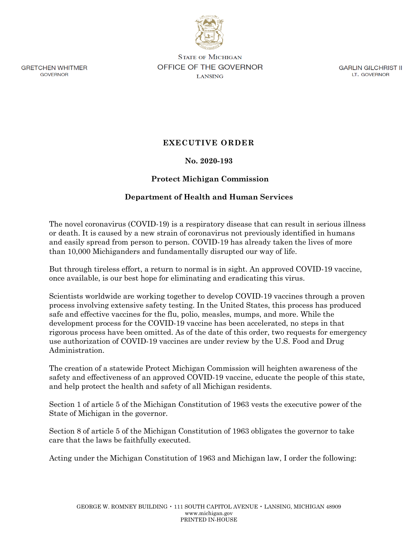

**GRETCHEN WHITMER GOVERNOR** 

**STATE OF MICHIGAN** OFFICE OF THE GOVERNOR **LANSING** 

**GARLIN GILCHRIST II** LT. GOVERNOR

# **EXECUTIVE ORDER**

## **No. 2020-193**

## **Protect Michigan Commission**

# **Department of Health and Human Services**

The novel coronavirus (COVID-19) is a respiratory disease that can result in serious illness or death. It is caused by a new strain of coronavirus not previously identified in humans and easily spread from person to person. COVID-19 has already taken the lives of more than 10,000 Michiganders and fundamentally disrupted our way of life.

But through tireless effort, a return to normal is in sight. An approved COVID-19 vaccine, once available, is our best hope for eliminating and eradicating this virus.

Scientists worldwide are working together to develop COVID-19 vaccines through a proven process involving extensive safety testing. In the United States, this process has produced safe and effective vaccines for the flu, polio, measles, mumps, and more. While the development process for the COVID-19 vaccine has been accelerated, no steps in that rigorous process have been omitted. As of the date of this order, two requests for emergency use authorization of COVID-19 vaccines are under review by the U.S. Food and Drug Administration.

The creation of a statewide Protect Michigan Commission will heighten awareness of the safety and effectiveness of an approved COVID-19 vaccine, educate the people of this state, and help protect the health and safety of all Michigan residents.

Section 1 of article 5 of the Michigan Constitution of 1963 vests the executive power of the State of Michigan in the governor.

Section 8 of article 5 of the Michigan Constitution of 1963 obligates the governor to take care that the laws be faithfully executed.

Acting under the Michigan Constitution of 1963 and Michigan law, I order the following: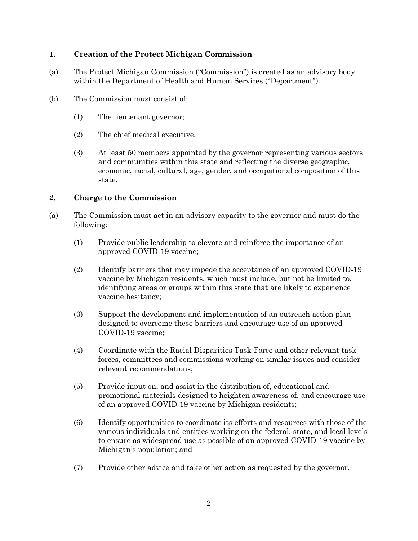## **1. Creation of the Protect Michigan Commission**

- (a) The Protect Michigan Commission ("Commission") is created as an advisory body within the Department of Health and Human Services ("Department").
- (b) The Commission must consist of:
	- (1) The lieutenant governor;
	- (2) The chief medical executive,
	- (3) At least 50 members appointed by the governor representing various sectors and communities within this state and reflecting the diverse geographic, economic, racial, cultural, age, gender, and occupational composition of this state.

#### **2. Charge to the Commission**

- (a) The Commission must act in an advisory capacity to the governor and must do the following:
	- (1) Provide public leadership to elevate and reinforce the importance of an approved COVID-19 vaccine;
	- (2) Identify barriers that may impede the acceptance of an approved COVID-19 vaccine by Michigan residents, which must include, but not be limited to, identifying areas or groups within this state that are likely to experience vaccine hesitancy;
	- (3) Support the development and implementation of an outreach action plan designed to overcome these barriers and encourage use of an approved COVID-19 vaccine;
	- (4) Coordinate with the Racial Disparities Task Force and other relevant task forces, committees and commissions working on similar issues and consider relevant recommendations;
	- (5) Provide input on, and assist in the distribution of, educational and promotional materials designed to heighten awareness of, and encourage use of an approved COVID-19 vaccine by Michigan residents;
	- (6) Identify opportunities to coordinate its efforts and resources with those of the various individuals and entities working on the federal, state, and local levels to ensure as widespread use as possible of an approved COVID-19 vaccine by Michigan's population; and
	- (7) Provide other advice and take other action as requested by the governor.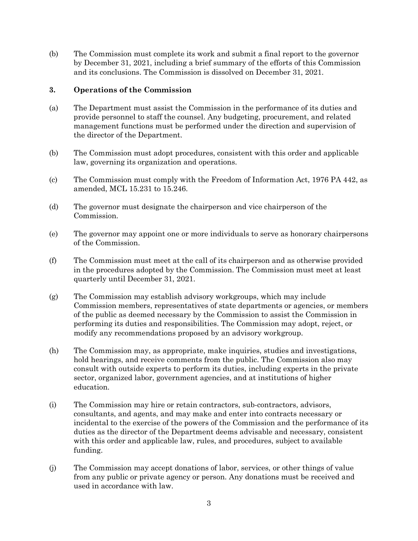(b) The Commission must complete its work and submit a final report to the governor by December 31, 2021, including a brief summary of the efforts of this Commission and its conclusions. The Commission is dissolved on December 31, 2021.

#### **3. Operations of the Commission**

- (a) The Department must assist the Commission in the performance of its duties and provide personnel to staff the counsel. Any budgeting, procurement, and related management functions must be performed under the direction and supervision of the director of the Department.
- (b) The Commission must adopt procedures, consistent with this order and applicable law, governing its organization and operations.
- (c) The Commission must comply with the Freedom of Information Act, 1976 PA 442, as amended, MCL 15.231 to 15.246.
- (d) The governor must designate the chairperson and vice chairperson of the Commission.
- (e) The governor may appoint one or more individuals to serve as honorary chairpersons of the Commission.
- (f) The Commission must meet at the call of its chairperson and as otherwise provided in the procedures adopted by the Commission. The Commission must meet at least quarterly until December 31, 2021.
- (g) The Commission may establish advisory workgroups, which may include Commission members, representatives of state departments or agencies, or members of the public as deemed necessary by the Commission to assist the Commission in performing its duties and responsibilities. The Commission may adopt, reject, or modify any recommendations proposed by an advisory workgroup.
- (h) The Commission may, as appropriate, make inquiries, studies and investigations, hold hearings, and receive comments from the public. The Commission also may consult with outside experts to perform its duties, including experts in the private sector, organized labor, government agencies, and at institutions of higher education.
- (i) The Commission may hire or retain contractors, sub-contractors, advisors, consultants, and agents, and may make and enter into contracts necessary or incidental to the exercise of the powers of the Commission and the performance of its duties as the director of the Department deems advisable and necessary, consistent with this order and applicable law, rules, and procedures, subject to available funding.
- (j) The Commission may accept donations of labor, services, or other things of value from any public or private agency or person. Any donations must be received and used in accordance with law.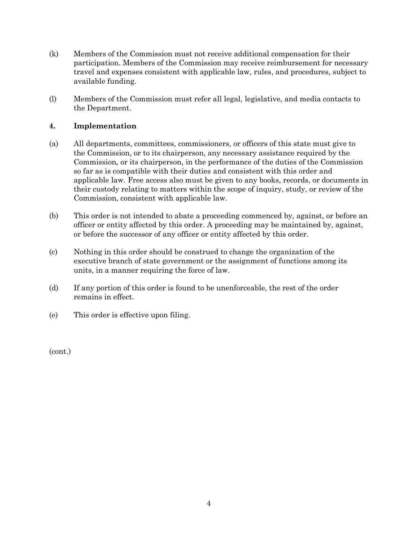- (k) Members of the Commission must not receive additional compensation for their participation. Members of the Commission may receive reimbursement for necessary travel and expenses consistent with applicable law, rules, and procedures, subject to available funding.
- (l) Members of the Commission must refer all legal, legislative, and media contacts to the Department.

## **4. Implementation**

- (a) All departments, committees, commissioners, or officers of this state must give to the Commission, or to its chairperson, any necessary assistance required by the Commission, or its chairperson, in the performance of the duties of the Commission so far as is compatible with their duties and consistent with this order and applicable law. Free access also must be given to any books, records, or documents in their custody relating to matters within the scope of inquiry, study, or review of the Commission, consistent with applicable law.
- (b) This order is not intended to abate a proceeding commenced by, against, or before an officer or entity affected by this order. A proceeding may be maintained by, against, or before the successor of any officer or entity affected by this order.
- (c) Nothing in this order should be construed to change the organization of the executive branch of state government or the assignment of functions among its units, in a manner requiring the force of law.
- (d) If any portion of this order is found to be unenforceable, the rest of the order remains in effect.
- (e) This order is effective upon filing.

(cont.)